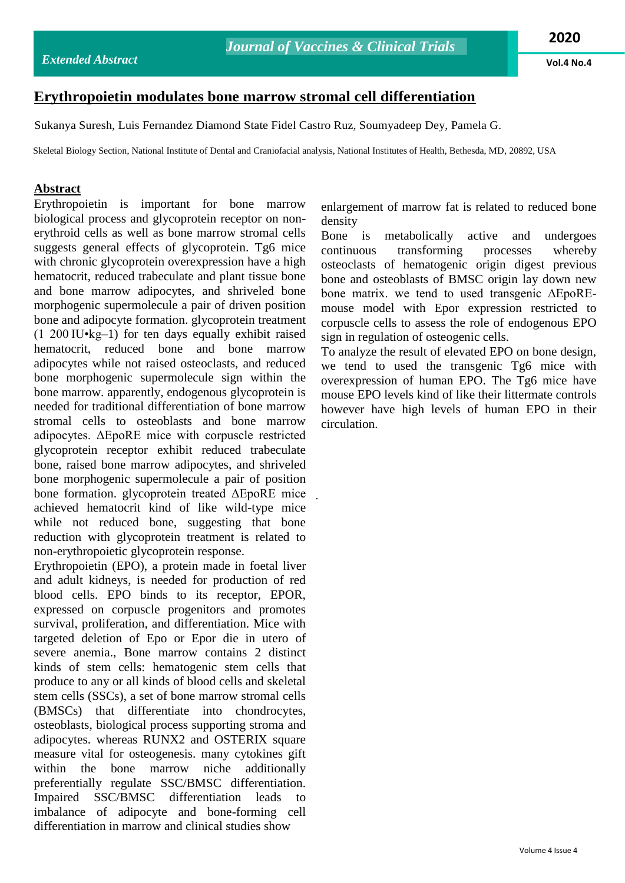**Vol.4 No.4**

## **Erythropoietin modulates bone marrow stromal cell differentiation**

Sukanya Suresh, Luis Fernandez Diamond State Fidel Castro Ruz, Soumyadeep Dey, Pamela G.

Skeletal Biology Section, National Institute of Dental and Craniofacial analysis, National Institutes of Health, Bethesda, MD, 20892, USA

.

## **Abstract**

Erythropoietin is important for bone marrow biological process and glycoprotein receptor on nonerythroid cells as well as bone marrow stromal cells suggests general effects of glycoprotein. Tg6 mice with chronic glycoprotein overexpression have a high hematocrit, reduced trabeculate and plant tissue bone and bone marrow adipocytes, and shriveled bone morphogenic supermolecule a pair of driven position bone and adipocyte formation. glycoprotein treatment (1 200 IU•kg–1) for ten days equally exhibit raised hematocrit, reduced bone and bone marrow adipocytes while not raised osteoclasts, and reduced bone morphogenic supermolecule sign within the bone marrow. apparently, endogenous glycoprotein is needed for traditional differentiation of bone marrow stromal cells to osteoblasts and bone marrow adipocytes. ΔEpoRE mice with corpuscle restricted glycoprotein receptor exhibit reduced trabeculate bone, raised bone marrow adipocytes, and shriveled bone morphogenic supermolecule a pair of position bone formation. glycoprotein treated ΔEpoRE mice achieved hematocrit kind of like wild-type mice while not reduced bone, suggesting that bone reduction with glycoprotein treatment is related to non-erythropoietic glycoprotein response.

Erythropoietin (EPO), a protein made in foetal liver and adult kidneys, is needed for production of red blood cells. EPO binds to its receptor, EPOR, expressed on corpuscle progenitors and promotes survival, proliferation, and differentiation. Mice with targeted deletion of Epo or Epor die in utero of severe anemia., Bone marrow contains 2 distinct kinds of stem cells: hematogenic stem cells that produce to any or all kinds of blood cells and skeletal stem cells (SSCs), a set of bone marrow stromal cells (BMSCs) that differentiate into chondrocytes, osteoblasts, biological process supporting stroma and adipocytes. whereas RUNX2 and OSTERIX square measure vital for osteogenesis. many cytokines gift within the bone marrow niche additionally preferentially regulate SSC/BMSC differentiation. Impaired SSC/BMSC differentiation leads to imbalance of adipocyte and bone-forming cell differentiation in marrow and clinical studies show

enlargement of marrow fat is related to reduced bone density

Bone is metabolically active and undergoes continuous transforming processes whereby osteoclasts of hematogenic origin digest previous bone and osteoblasts of BMSC origin lay down new bone matrix. we tend to used transgenic ∆EpoREmouse model with Epor expression restricted to corpuscle cells to assess the role of endogenous EPO sign in regulation of osteogenic cells.

To analyze the result of elevated EPO on bone design, we tend to used the transgenic Tg6 mice with overexpression of human EPO. The Tg6 mice have mouse EPO levels kind of like their littermate controls however have high levels of human EPO in their circulation.